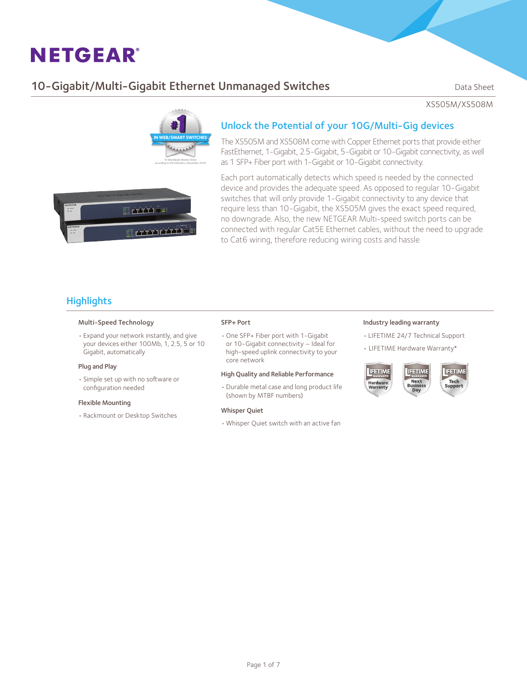## **10-Gigabit/Multi-Gigabit Ethernet Unmanaged Switches** Data Sheet

XS505M/XS508M



### Unlock the Potential of your 10G/Multi-Gig devices

The XS505M and XS508M come with Copper Ethernet ports that provide either FastEthernet, 1-Gigabit, 2.5-Gigabit, 5-Gigabit or 10-Gigabit connectivity, as well as 1 SFP+ Fiber port with 1-Gigabit or 10-Gigabit connectivity.

E privile <u> Urri ciri</u>

Each port automatically detects which speed is needed by the connected device and provides the adequate speed. As opposed to regular 10-Gigabit switches that will only provide 1-Gigabit connectivity to any device that require less than 10-Gigabit, the XS505M gives the exact speed required, no downgrade. Also, the new NETGEAR Multi-speed switch ports can be connected with regular Cat5E Ethernet cables, without the need to upgrade to Cat6 wiring, therefore reducing wiring costs and hassle

## **Highlights**

#### Multi-Speed Technology

• Expand your network instantly, and give your devices either 100Mb, 1, 2.5, 5 or 10 Gigabit, automatically

#### Plug and Play

• Simple set up with no software or configuration needed

#### Flexible Mounting

• Rackmount or Desktop Switches

#### SFP+ Port

• One SFP+ Fiber port with 1-Gigabit or 10-Gigabit connectivity – Ideal for high-speed uplink connectivity to your core network

#### High Quality and Reliable Performance

• Durable metal case and long product life (shown by MTBF numbers)

#### Whisper Quiet

• Whisper Quiet switch with an active fan

#### Industry leading warranty

- • LIFETIME 24/7 Technical Support
- LIFETIME Hardware Warranty\*



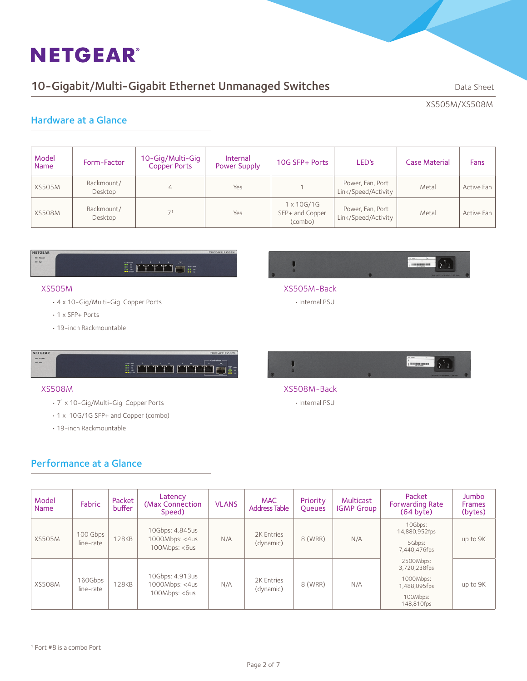## 10-Gigabit/Multi-Gigabit Ethernet Unmanaged Switches Data Sheet

XS505M/XS508M

### Hardware at a Glance

| Model<br><b>Name</b> | Form-Factor           | 10-Gig/Multi-Gig<br>Copper Ports | Internal<br><b>Power Supply</b> | 10G SFP+ Ports                           | LED's                                   | <b>Case Material</b> | Fans       |
|----------------------|-----------------------|----------------------------------|---------------------------------|------------------------------------------|-----------------------------------------|----------------------|------------|
| <b>XS505M</b>        | Rackmount/<br>Desktop | 4                                | Yes                             |                                          | Power, Fan, Port<br>Link/Speed/Activity | Metal                | Active Fan |
| <b>XS508M</b>        | Rackmount/<br>Desktop | 71                               | Yes                             | 1 x 10G/1G<br>SFP+ and Copper<br>(combo) | Power, Fan, Port<br>Link/Speed/Activity | Metal                | Active Fan |

#### NETGEAR  $= 7 cm$

# **II HTTTT**

#### XS505M

- • 4 x 10-Gig/Multi-Gig Copper Ports
- • 1 x SFP+ Ports
- • 19-inch Rackmountable

#### NETGEAR  $= 1$  Power

# 

#### XS508M

- • 71 x 10-Gig/Multi-Gig Copper Ports
- 1 x 10G/1G SFP+ and Copper (combo)
- • 19-inch Rackmountable

### Performance at a Glance

|             |  | <b>CONTRACTOR</b> |                               |  |
|-------------|--|-------------------|-------------------------------|--|
|             |  |                   | 100-240V ~ 50/69Hz, 1.9A mox. |  |
| XS505M-Back |  |                   |                               |  |

• Internal PSU



- XS508M-Back
	- • Internal PSU

| Model<br><b>Name</b> | Fabric                | Packet<br>buffer | Latency<br>(Max Connection)<br>Speed)               | <b>VLANS</b> | <b>MAC</b><br><b>Address Table</b> | Priority<br><b>Queues</b> | Multicast<br><b>IGMP Group</b> | Packet<br><b>Forwarding Rate</b><br>(64 byte)                                    | <b>Jumbo</b><br><b>Frames</b><br>(bytes) |
|----------------------|-----------------------|------------------|-----------------------------------------------------|--------------|------------------------------------|---------------------------|--------------------------------|----------------------------------------------------------------------------------|------------------------------------------|
| <b>XS505M</b>        | 100 Gbps<br>line-rate | <b>128KB</b>     | 10Gbps: 4.845us<br>1000Mbps: < 4us<br>100Mbps: <6us | N/A          | 2K Entries<br>(dynamic)            | 8 (WRR)                   | N/A                            | 10Gbps:<br>14,880,952fps<br>5Gbps:<br>7,440,476fps                               | up to 9K                                 |
| <b>XS508M</b>        | 160Gbps<br>line-rate  | <b>128KB</b>     | 10Gbps: 4.913us<br>1000Mbps: < 4us<br>100Mbps: <6us | N/A          | 2K Entries<br>(dynamic)            | 8 (WRR)                   | N/A                            | 2500Mbps:<br>3,720,238fps<br>1000Mbps:<br>1,488,095fps<br>100Mbps:<br>148,810fps | up to 9K                                 |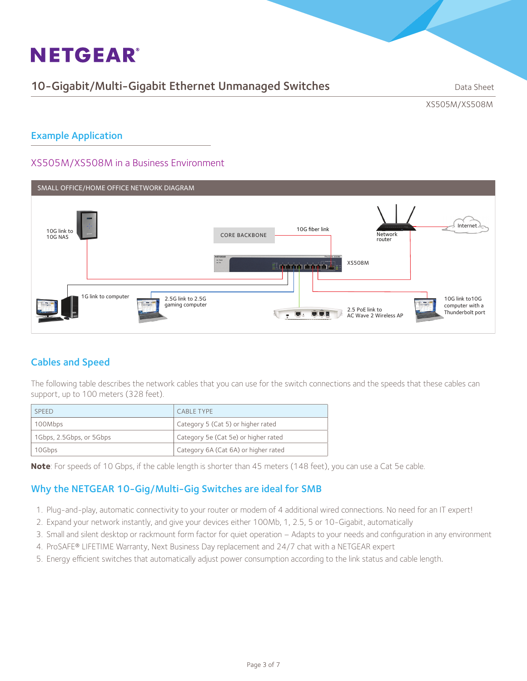## 10-Gigabit/Multi-Gigabit Ethernet Unmanaged Switches Data Sheet

XS505M/XS508M

### Example Application

### XS505M/XS508M in a Business Environment



## Cables and Speed

The following table describes the network cables that you can use for the switch connections and the speeds that these cables can support, up to 100 meters (328 feet).

| <b>SPEED</b>             | <b>CABLE TYPE</b>                    |  |
|--------------------------|--------------------------------------|--|
| 100Mbps                  | Category 5 (Cat 5) or higher rated   |  |
| 1Gbps, 2.5Gbps, or 5Gbps | Category 5e (Cat 5e) or higher rated |  |
| 10Gbps                   | Category 6A (Cat 6A) or higher rated |  |

**Note**: For speeds of 10 Gbps, if the cable length is shorter than 45 meters (148 feet), you can use a Cat 5e cable.

### Why the NETGEAR 10-Gig/Multi-Gig Switches are ideal for SMB

- 1. Plug-and-play, automatic connectivity to your router or modem of 4 additional wired connections. No need for an IT expert!
- 2. Expand your network instantly, and give your devices either 100Mb, 1, 2.5, 5 or 10-Gigabit, automatically
- 3. Small and silent desktop or rackmount form factor for quiet operation Adapts to your needs and configuration in any environment
- 4. ProSAFE® LIFETIME Warranty, Next Business Day replacement and 24/7 chat with a NETGEAR expert
- 5. Energy efficient switches that automatically adjust power consumption according to the link status and cable length.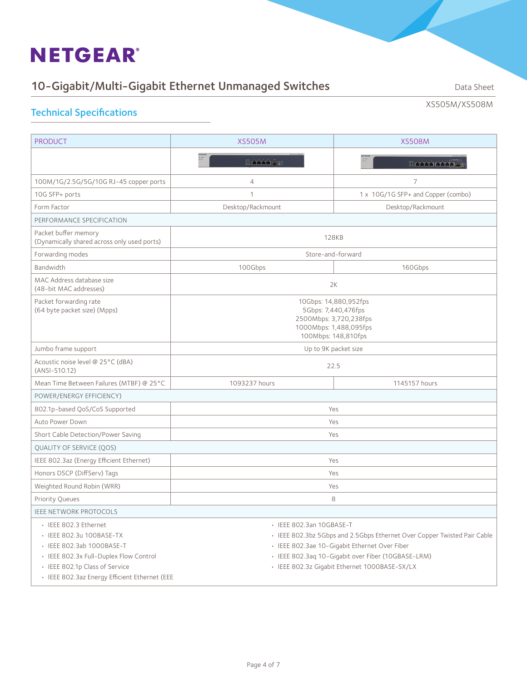# 10-Gigabit/Multi-Gigabit Ethernet Unmanaged Switches Data Sheet

XS505M/XS508M

## Technical Specifications

| <b>PRODUCT</b>                                                                                                                                             | <b>XS505M</b>                                                                                                           | <b>XS508M</b>                                                                                                                                                                                                                    |  |  |
|------------------------------------------------------------------------------------------------------------------------------------------------------------|-------------------------------------------------------------------------------------------------------------------------|----------------------------------------------------------------------------------------------------------------------------------------------------------------------------------------------------------------------------------|--|--|
|                                                                                                                                                            | IL PETTE CITY                                                                                                           | ELETTICTTL                                                                                                                                                                                                                       |  |  |
| 100M/1G/2.5G/5G/10G RJ-45 copper ports                                                                                                                     | $\overline{4}$                                                                                                          | 7                                                                                                                                                                                                                                |  |  |
| 10G SFP+ ports                                                                                                                                             | $\mathbf 1$                                                                                                             | 1 x 10G/1G SFP+ and Copper (combo)                                                                                                                                                                                               |  |  |
| Form Factor                                                                                                                                                | Desktop/Rackmount                                                                                                       | Desktop/Rackmount                                                                                                                                                                                                                |  |  |
| PERFORMANCE SPECIFICATION                                                                                                                                  |                                                                                                                         |                                                                                                                                                                                                                                  |  |  |
| Packet buffer memory<br>(Dynamically shared across only used ports)                                                                                        | <b>128KB</b>                                                                                                            |                                                                                                                                                                                                                                  |  |  |
| Forwarding modes                                                                                                                                           |                                                                                                                         | Store-and-forward                                                                                                                                                                                                                |  |  |
| Bandwidth                                                                                                                                                  | 100Gbps                                                                                                                 | 160Gbps                                                                                                                                                                                                                          |  |  |
| MAC Address database size<br>(48-bit MAC addresses)                                                                                                        |                                                                                                                         | 2K                                                                                                                                                                                                                               |  |  |
| Packet forwarding rate<br>(64 byte packet size) (Mpps)                                                                                                     | 10Gbps: 14,880,952fps<br>5Gbps: 7,440,476fps<br>2500Mbps: 3,720,238fps<br>1000Mbps: 1,488,095fps<br>100Mbps: 148,810fps |                                                                                                                                                                                                                                  |  |  |
| Jumbo frame support                                                                                                                                        | Up to 9K packet size                                                                                                    |                                                                                                                                                                                                                                  |  |  |
| Acoustic noise level @ 25°C (dBA)<br>(ANSI-S10.12)                                                                                                         | 22.5                                                                                                                    |                                                                                                                                                                                                                                  |  |  |
| Mean Time Between Failures (MTBF) @ 25°C                                                                                                                   | 1093237 hours                                                                                                           | 1145157 hours                                                                                                                                                                                                                    |  |  |
| POWER/ENERGY EFFICIENCY)                                                                                                                                   |                                                                                                                         |                                                                                                                                                                                                                                  |  |  |
| 802.1p-based QoS/CoS Supported                                                                                                                             |                                                                                                                         | Yes                                                                                                                                                                                                                              |  |  |
| Auto Power Down                                                                                                                                            | Yes                                                                                                                     |                                                                                                                                                                                                                                  |  |  |
| Short Cable Detection/Power Saving                                                                                                                         | Yes                                                                                                                     |                                                                                                                                                                                                                                  |  |  |
| QUALITY OF SERVICE (QOS)                                                                                                                                   |                                                                                                                         |                                                                                                                                                                                                                                  |  |  |
| IEEE 802.3az (Energy Efficient Ethernet)                                                                                                                   | Yes                                                                                                                     |                                                                                                                                                                                                                                  |  |  |
| Honors DSCP (DiffServ) Tags                                                                                                                                | Yes                                                                                                                     |                                                                                                                                                                                                                                  |  |  |
| Weighted Round Robin (WRR)                                                                                                                                 | Yes                                                                                                                     |                                                                                                                                                                                                                                  |  |  |
| <b>Priority Queues</b>                                                                                                                                     | 8                                                                                                                       |                                                                                                                                                                                                                                  |  |  |
| <b>IEEE NETWORK PROTOCOLS</b>                                                                                                                              |                                                                                                                         |                                                                                                                                                                                                                                  |  |  |
| · IEEE 802.3 Ethernet<br>• IEEE 802.3u 100BASE-TX<br>· IEEE 802.3ab 1000BASE-T<br>· IEEE 802.3x Full-Duplex Flow Control<br>• IEEE 802.1p Class of Service | · IEEE 802.3an 10GBASE-T                                                                                                | · IEEE 802.3bz 5Gbps and 2.5Gbps Ethernet Over Copper Twisted Pair Cable<br>· IEEE 802.3ae 10-Gigabit Ethernet Over Fiber<br>· IEEE 802.3aq 10-Gigabit over Fiber (10GBASE-LRM)<br>· IEEE 802.3z Gigabit Ethernet 1000BASE-SX/LX |  |  |
| · IEEE 802.3az Energy Efficient Ethernet (EEE                                                                                                              |                                                                                                                         |                                                                                                                                                                                                                                  |  |  |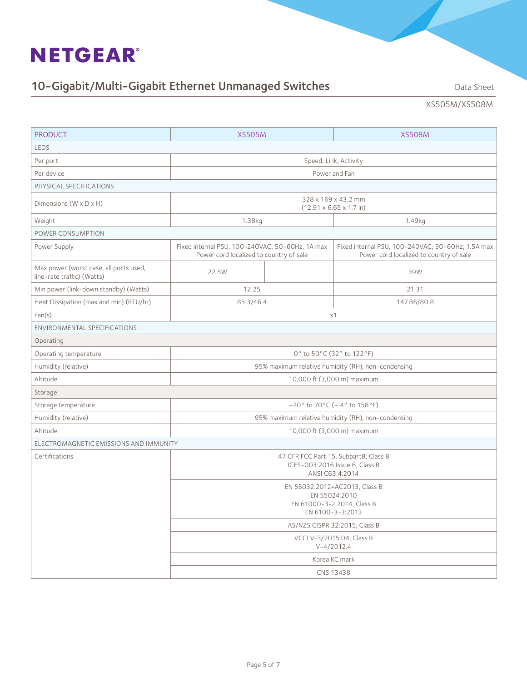# 10-Gigabit/Multi-Gigabit Ethernet Unmanaged Switches Data Sheet

XS505M/XS508M

| <b>PRODUCT</b>                                                       | <b>XS505M</b>                                                                                    |  | <b>XS508M</b>                                                                                |  |  |
|----------------------------------------------------------------------|--------------------------------------------------------------------------------------------------|--|----------------------------------------------------------------------------------------------|--|--|
| LEDS                                                                 |                                                                                                  |  |                                                                                              |  |  |
| Per port                                                             | Speed, Link, Activity                                                                            |  |                                                                                              |  |  |
| Per device                                                           | Power and Fan                                                                                    |  |                                                                                              |  |  |
| PHYSICAL SPECIFICATIONS                                              |                                                                                                  |  |                                                                                              |  |  |
| Dimensions ( $W \times D \times H$ )                                 | 328 x 169 x 43.2 mm<br>$(12.91 \times 6.65 \times 1.7 \text{ in})$                               |  |                                                                                              |  |  |
| Weight                                                               | 1.38kg                                                                                           |  | 1.49kg                                                                                       |  |  |
| POWER CONSUMPTION                                                    |                                                                                                  |  |                                                                                              |  |  |
| Power Supply                                                         | Fixed internal PSU, 100-240VAC, 50-60Hz, 1A max<br>Power cord localized to country of sale       |  | Fixed internal PSU, 100-240VAC, 50-60Hz, 1.5A max<br>Power cord localized to country of sale |  |  |
| Max power (worst case, all ports used,<br>line-rate traffic) (Watts) | 22.5W                                                                                            |  | 39W                                                                                          |  |  |
| Min power (link-down standby) (Watts)                                | 12.25                                                                                            |  | 21.31                                                                                        |  |  |
| Heat Dissipation (max and min) (BTU/hr)                              | 85.3/46.4                                                                                        |  | 147.86/80.8                                                                                  |  |  |
| Fan(s)<br>x1                                                         |                                                                                                  |  |                                                                                              |  |  |
| ENVIRONMENTAL SPECIFICATIONS                                         |                                                                                                  |  |                                                                                              |  |  |
| Operating                                                            |                                                                                                  |  |                                                                                              |  |  |
| Operating temperature                                                | 0° to 50°C (32° to 122°F)                                                                        |  |                                                                                              |  |  |
| Humidity (relative)                                                  | 95% maximum relative humidity (RH), non-condensing                                               |  |                                                                                              |  |  |
| Altitude                                                             | 10,000 ft (3,000 m) maximum                                                                      |  |                                                                                              |  |  |
| Storage                                                              |                                                                                                  |  |                                                                                              |  |  |
| Storage temperature                                                  | $-20^{\circ}$ to 70°C (-4° to 158°F)                                                             |  |                                                                                              |  |  |
| Humidity (relative)                                                  |                                                                                                  |  | 95% maximum relative humidity (RH), non-condensing                                           |  |  |
| Altitude                                                             | 10,000 ft (3,000 m) maximum                                                                      |  |                                                                                              |  |  |
| ELECTROMAGNETIC EMISSIONS AND IMMUNITY                               |                                                                                                  |  |                                                                                              |  |  |
| Certifications                                                       |                                                                                                  |  | 47 CFR FCC Part 15, SubpartB, Class B<br>ICES-003:2016 Issue 6, Class B<br>ANSI C63.4:2014   |  |  |
|                                                                      | EN 55032:2012+AC2013, Class B<br>EN 55024:2010<br>EN 61000-3-2:2014, Class B<br>EN 6100-3-3:2013 |  |                                                                                              |  |  |
|                                                                      | AS/NZS CISPR 32:2015, Class B                                                                    |  |                                                                                              |  |  |
|                                                                      | VCCI V-3/2015.04, Class B<br>$V - 4/2012.4$                                                      |  |                                                                                              |  |  |
|                                                                      | Korea KC mark                                                                                    |  |                                                                                              |  |  |
|                                                                      | CNS 13438                                                                                        |  |                                                                                              |  |  |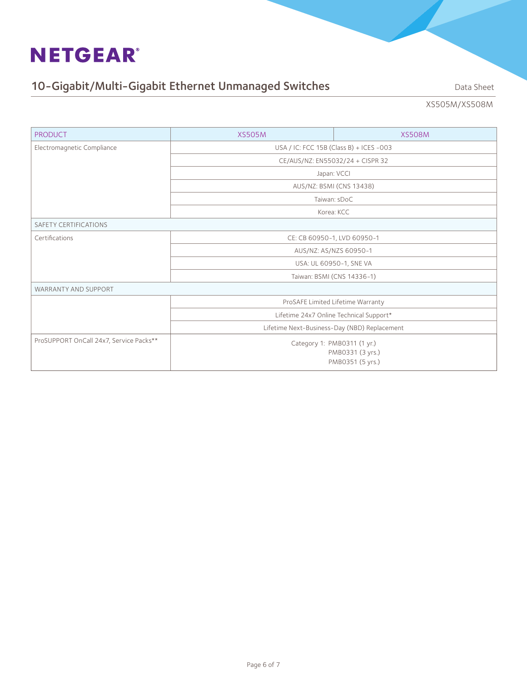# 10-Gigabit/Multi-Gigabit Ethernet Unmanaged Switches Data Sheet

XS505M/XS508M

| <b>PRODUCT</b>                          | <b>XS505M</b>                                                       | <b>XS508M</b> |  |  |  |
|-----------------------------------------|---------------------------------------------------------------------|---------------|--|--|--|
| Electromagnetic Compliance              | USA / IC: FCC 15B (Class B) + ICES -003                             |               |  |  |  |
|                                         | CE/AUS/NZ: EN55032/24 + CISPR 32                                    |               |  |  |  |
|                                         | Japan: VCCI                                                         |               |  |  |  |
|                                         | AUS/NZ: BSMI (CNS 13438)                                            |               |  |  |  |
|                                         | Taiwan: sDoC                                                        |               |  |  |  |
|                                         |                                                                     | Korea: KCC    |  |  |  |
| <b>SAFETY CERTIFICATIONS</b>            |                                                                     |               |  |  |  |
| Certifications                          | CE: CB 60950-1, LVD 60950-1                                         |               |  |  |  |
|                                         | AUS/NZ: AS/NZS 60950-1                                              |               |  |  |  |
|                                         | USA: UL 60950-1, SNE VA                                             |               |  |  |  |
|                                         | Taiwan: BSMI (CNS 14336-1)                                          |               |  |  |  |
| <b>WARRANTY AND SUPPORT</b>             |                                                                     |               |  |  |  |
|                                         | ProSAFE Limited Lifetime Warranty                                   |               |  |  |  |
|                                         | Lifetime 24x7 Online Technical Support*                             |               |  |  |  |
|                                         | Lifetime Next-Business-Day (NBD) Replacement                        |               |  |  |  |
| ProSUPPORT OnCall 24x7, Service Packs** | Category 1: PMB0311 (1 yr.)<br>PMB0331 (3 yrs.)<br>PMB0351 (5 yrs.) |               |  |  |  |